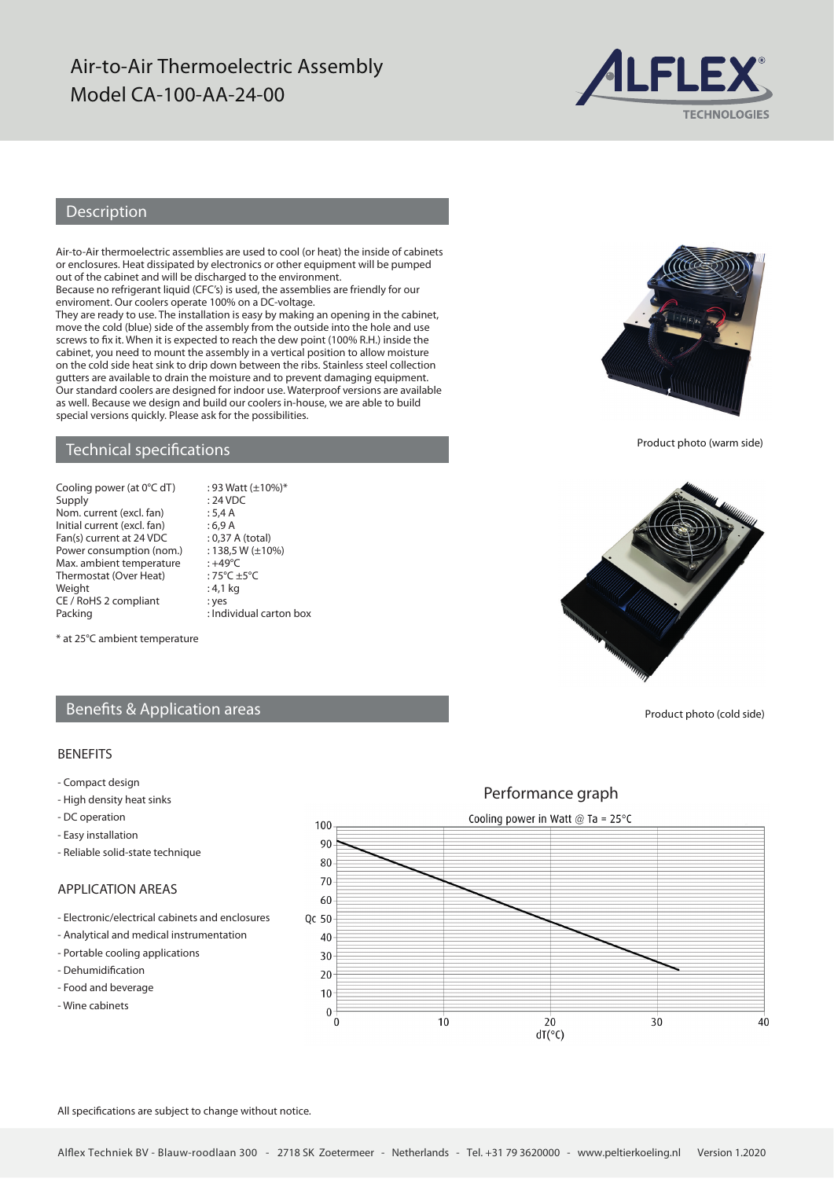## Air-to-Air Thermoelectric Assembly Model CA-100-AA-24-00



## Description

Air-to-Air thermoelectric assemblies are used to cool (or heat) the inside of cabinets or enclosures. Heat dissipated by electronics or other equipment will be pumped out of the cabinet and will be discharged to the environment.

Because no refrigerant liquid (CFC's) is used, the assemblies are friendly for our enviroment. Our coolers operate 100% on a DC-voltage.

They are ready to use. The installation is easy by making an opening in the cabinet, move the cold (blue) side of the assembly from the outside into the hole and use screws to fix it. When it is expected to reach the dew point (100% R.H.) inside the cabinet, you need to mount the assembly in a vertical position to allow moisture on the cold side heat sink to drip down between the ribs. Stainless steel collection gutters are available to drain the moisture and to prevent damaging equipment. Our standard coolers are designed for indoor use. Waterproof versions are available as well. Because we design and build our coolers in-house, we are able to build special versions quickly. Please ask for the possibilities.

 $: 93$  Watt ( $\pm 10\%$ )\*

### Technical specifications

| Cooling power (at 0°C dT)   |
|-----------------------------|
| Supply                      |
| Nom. current (excl. fan)    |
| Initial current (excl. fan) |
| Fan(s) current at 24 VDC    |
| Power consumption (nom.)    |
| Max. ambient temperature    |
| Thermostat (Over Heat)      |
| Weight                      |
| CE / RoHS 2 compliant       |
| Dacking                     |

 $: 24$  VDC  $: 5.4 A$  $:6,9$  A : 0,37 A (total)  $: 138.5 W (\pm 10\%)$  $\cdot +49^{\circ}C$  $:75^{\circ}C +5^{\circ}C$  $: 4,1$  kg : yes Packing **Example 2** : Individual carton box

\* at 25°C ambient temperature

## Benefits & Application areas

#### BENEFITS

- Compact design
- High density heat sinks
- DC operation
- Easy installation
- Reliable solid-state technique

### APPLICATION AREAS

- Electronic/electrical cabinets and enclosures
- Analytical and medical instrumentation
- Portable cooling applications
- Dehumidification
- Food and beverage
- Wine cabinets

Performance graph Cooling power in Watt  $@$  Ta = 25°C 100  $90$  $80$ 70 60 Qc 50 40  $30$  $20$  $10$  $\mathbf{0}$  $\overline{0}$  $10$  $20$  $30$  $40$  $dT(°C)$ 

All specifications are subject to change without notice.



Product photo (warm side)



Product photo (cold side)